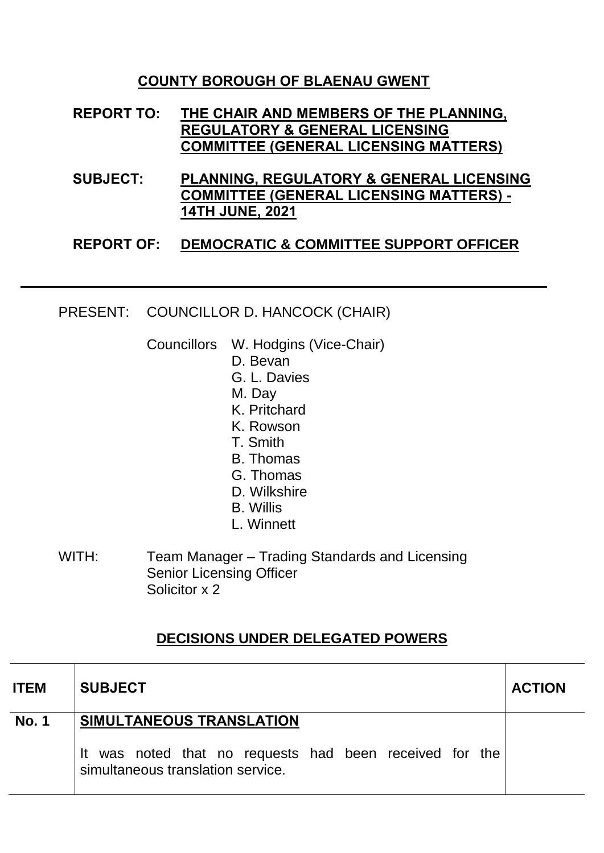## **COUNTY BOROUGH OF BLAENAU GWENT**

- **REPORT TO: THE CHAIR AND MEMBERS OF THE PLANNING, REGULATORY & GENERAL LICENSING COMMITTEE (GENERAL LICENSING MATTERS)**
- **SUBJECT: PLANNING, REGULATORY & GENERAL LICENSING COMMITTEE (GENERAL LICENSING MATTERS) - 14TH JUNE, 2021**

## **REPORT OF: DEMOCRATIC & COMMITTEE SUPPORT OFFICER**

## PRESENT: COUNCILLOR D. HANCOCK (CHAIR)

Councillors W. Hodgins (Vice-Chair)

- D. Bevan
- G. L. Davies
- M. Day
- K. Pritchard
- K. Rowson
- T. Smith
- B. Thomas
- G. Thomas
- D. Wilkshire
- B. Willis
- L. Winnett
- WITH: Team Manager Trading Standards and Licensing Senior Licensing Officer Solicitor x 2

## **DECISIONS UNDER DELEGATED POWERS**

| <b>ITEM</b>  | <b>SUBJECT</b>                                                                               | <b>ACTION</b> |
|--------------|----------------------------------------------------------------------------------------------|---------------|
| <b>No. 1</b> | SIMULTANEOUS TRANSLATION                                                                     |               |
|              | It was noted that no requests had been received for the<br>simultaneous translation service. |               |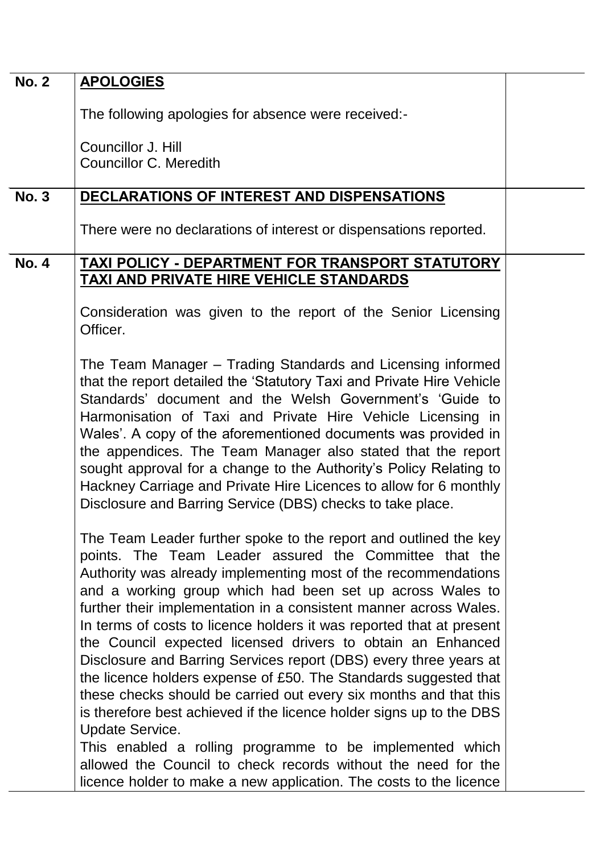| <b>No. 2</b> | <b>APOLOGIES</b>                                                                                                                                                                                                                                                                                                                                                                                                                                                                                                                                                                                                                                                                                                                                                                                                                                                                                                                                                                         |  |
|--------------|------------------------------------------------------------------------------------------------------------------------------------------------------------------------------------------------------------------------------------------------------------------------------------------------------------------------------------------------------------------------------------------------------------------------------------------------------------------------------------------------------------------------------------------------------------------------------------------------------------------------------------------------------------------------------------------------------------------------------------------------------------------------------------------------------------------------------------------------------------------------------------------------------------------------------------------------------------------------------------------|--|
|              | The following apologies for absence were received:-                                                                                                                                                                                                                                                                                                                                                                                                                                                                                                                                                                                                                                                                                                                                                                                                                                                                                                                                      |  |
|              |                                                                                                                                                                                                                                                                                                                                                                                                                                                                                                                                                                                                                                                                                                                                                                                                                                                                                                                                                                                          |  |
|              | Councillor J. Hill<br><b>Councillor C. Meredith</b>                                                                                                                                                                                                                                                                                                                                                                                                                                                                                                                                                                                                                                                                                                                                                                                                                                                                                                                                      |  |
| <b>No. 3</b> | DECLARATIONS OF INTEREST AND DISPENSATIONS                                                                                                                                                                                                                                                                                                                                                                                                                                                                                                                                                                                                                                                                                                                                                                                                                                                                                                                                               |  |
|              | There were no declarations of interest or dispensations reported.                                                                                                                                                                                                                                                                                                                                                                                                                                                                                                                                                                                                                                                                                                                                                                                                                                                                                                                        |  |
| <b>No. 4</b> | TAXI POLICY - DEPARTMENT FOR TRANSPORT STATUTORY<br><b>TAXI AND PRIVATE HIRE VEHICLE STANDARDS</b>                                                                                                                                                                                                                                                                                                                                                                                                                                                                                                                                                                                                                                                                                                                                                                                                                                                                                       |  |
|              | Consideration was given to the report of the Senior Licensing<br>Officer.                                                                                                                                                                                                                                                                                                                                                                                                                                                                                                                                                                                                                                                                                                                                                                                                                                                                                                                |  |
|              | The Team Manager – Trading Standards and Licensing informed<br>that the report detailed the 'Statutory Taxi and Private Hire Vehicle<br>Standards' document and the Welsh Government's 'Guide to<br>Harmonisation of Taxi and Private Hire Vehicle Licensing in<br>Wales'. A copy of the aforementioned documents was provided in<br>the appendices. The Team Manager also stated that the report<br>sought approval for a change to the Authority's Policy Relating to<br>Hackney Carriage and Private Hire Licences to allow for 6 monthly<br>Disclosure and Barring Service (DBS) checks to take place.                                                                                                                                                                                                                                                                                                                                                                               |  |
|              | The Team Leader further spoke to the report and outlined the key<br>points. The Team Leader assured the Committee that the<br>Authority was already implementing most of the recommendations<br>and a working group which had been set up across Wales to<br>further their implementation in a consistent manner across Wales.<br>In terms of costs to licence holders it was reported that at present<br>the Council expected licensed drivers to obtain an Enhanced<br>Disclosure and Barring Services report (DBS) every three years at<br>the licence holders expense of £50. The Standards suggested that<br>these checks should be carried out every six months and that this<br>is therefore best achieved if the licence holder signs up to the DBS<br><b>Update Service.</b><br>This enabled a rolling programme to be implemented which<br>allowed the Council to check records without the need for the<br>licence holder to make a new application. The costs to the licence |  |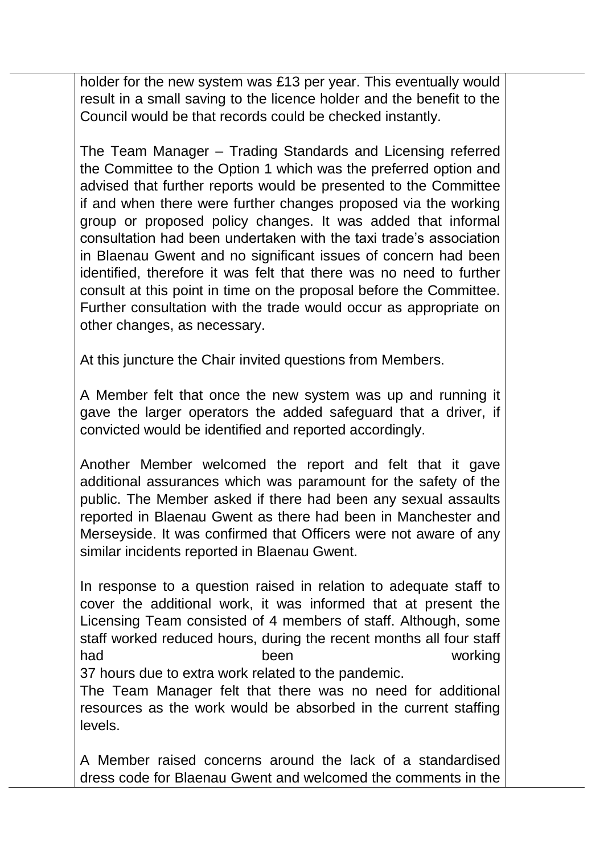holder for the new system was £13 per year. This eventually would result in a small saving to the licence holder and the benefit to the Council would be that records could be checked instantly.

The Team Manager – Trading Standards and Licensing referred the Committee to the Option 1 which was the preferred option and advised that further reports would be presented to the Committee if and when there were further changes proposed via the working group or proposed policy changes. It was added that informal consultation had been undertaken with the taxi trade's association in Blaenau Gwent and no significant issues of concern had been identified, therefore it was felt that there was no need to further consult at this point in time on the proposal before the Committee. Further consultation with the trade would occur as appropriate on other changes, as necessary.

At this juncture the Chair invited questions from Members.

A Member felt that once the new system was up and running it gave the larger operators the added safeguard that a driver, if convicted would be identified and reported accordingly.

Another Member welcomed the report and felt that it gave additional assurances which was paramount for the safety of the public. The Member asked if there had been any sexual assaults reported in Blaenau Gwent as there had been in Manchester and Merseyside. It was confirmed that Officers were not aware of any similar incidents reported in Blaenau Gwent.

In response to a question raised in relation to adequate staff to cover the additional work, it was informed that at present the Licensing Team consisted of 4 members of staff. Although, some staff worked reduced hours, during the recent months all four staff had been working

37 hours due to extra work related to the pandemic.

The Team Manager felt that there was no need for additional resources as the work would be absorbed in the current staffing levels.

A Member raised concerns around the lack of a standardised dress code for Blaenau Gwent and welcomed the comments in the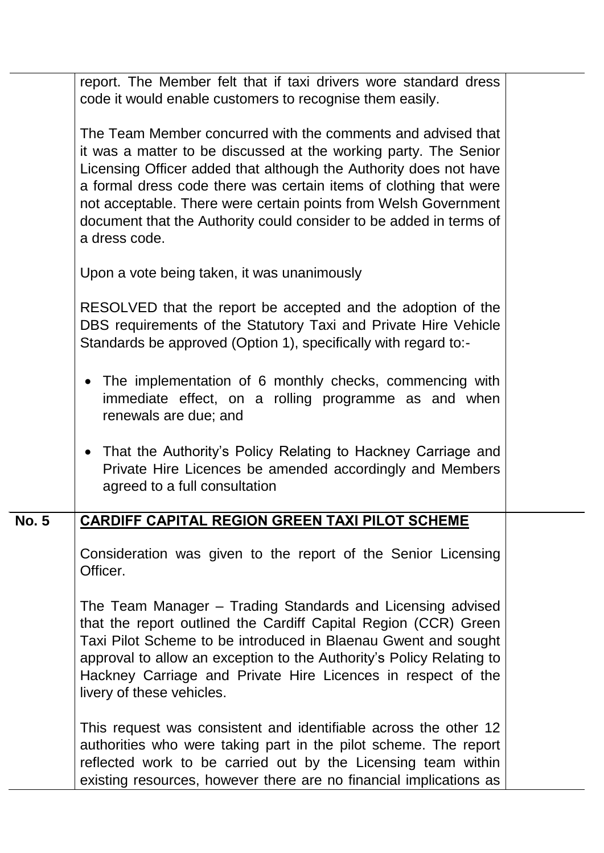|              | report. The Member felt that if taxi drivers wore standard dress<br>code it would enable customers to recognise them easily.                                                                                                                                                                                                                                                                                                         |  |
|--------------|--------------------------------------------------------------------------------------------------------------------------------------------------------------------------------------------------------------------------------------------------------------------------------------------------------------------------------------------------------------------------------------------------------------------------------------|--|
|              | The Team Member concurred with the comments and advised that<br>it was a matter to be discussed at the working party. The Senior<br>Licensing Officer added that although the Authority does not have<br>a formal dress code there was certain items of clothing that were<br>not acceptable. There were certain points from Welsh Government<br>document that the Authority could consider to be added in terms of<br>a dress code. |  |
|              | Upon a vote being taken, it was unanimously                                                                                                                                                                                                                                                                                                                                                                                          |  |
|              | RESOLVED that the report be accepted and the adoption of the<br>DBS requirements of the Statutory Taxi and Private Hire Vehicle<br>Standards be approved (Option 1), specifically with regard to:-                                                                                                                                                                                                                                   |  |
|              | The implementation of 6 monthly checks, commencing with<br>$\bullet$<br>immediate effect, on a rolling programme as and when<br>renewals are due; and                                                                                                                                                                                                                                                                                |  |
|              | That the Authority's Policy Relating to Hackney Carriage and<br>$\bullet$<br>Private Hire Licences be amended accordingly and Members<br>agreed to a full consultation                                                                                                                                                                                                                                                               |  |
| <b>No. 5</b> | <b>CARDIFF CAPITAL REGION GREEN TAXI PILOT SCHEME</b>                                                                                                                                                                                                                                                                                                                                                                                |  |
|              | Consideration was given to the report of the Senior Licensing<br>Officer.                                                                                                                                                                                                                                                                                                                                                            |  |
|              | The Team Manager – Trading Standards and Licensing advised<br>that the report outlined the Cardiff Capital Region (CCR) Green<br>Taxi Pilot Scheme to be introduced in Blaenau Gwent and sought<br>approval to allow an exception to the Authority's Policy Relating to<br>Hackney Carriage and Private Hire Licences in respect of the<br>livery of these vehicles.                                                                 |  |
|              | This request was consistent and identifiable across the other 12<br>authorities who were taking part in the pilot scheme. The report<br>reflected work to be carried out by the Licensing team within<br>existing resources, however there are no financial implications as                                                                                                                                                          |  |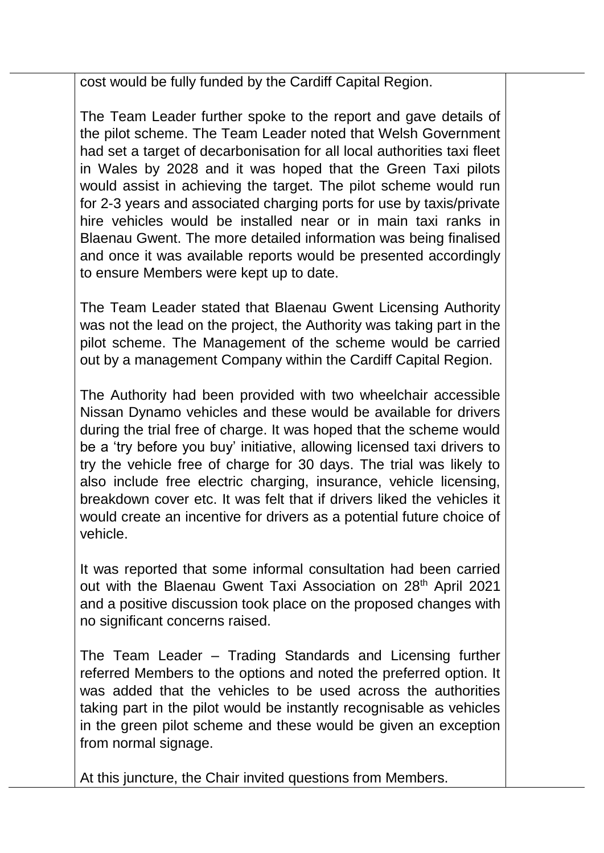cost would be fully funded by the Cardiff Capital Region.

The Team Leader further spoke to the report and gave details of the pilot scheme. The Team Leader noted that Welsh Government had set a target of decarbonisation for all local authorities taxi fleet in Wales by 2028 and it was hoped that the Green Taxi pilots would assist in achieving the target. The pilot scheme would run for 2-3 years and associated charging ports for use by taxis/private hire vehicles would be installed near or in main taxi ranks in Blaenau Gwent. The more detailed information was being finalised and once it was available reports would be presented accordingly to ensure Members were kept up to date.

The Team Leader stated that Blaenau Gwent Licensing Authority was not the lead on the project, the Authority was taking part in the pilot scheme. The Management of the scheme would be carried out by a management Company within the Cardiff Capital Region.

The Authority had been provided with two wheelchair accessible Nissan Dynamo vehicles and these would be available for drivers during the trial free of charge. It was hoped that the scheme would be a 'try before you buy' initiative, allowing licensed taxi drivers to try the vehicle free of charge for 30 days. The trial was likely to also include free electric charging, insurance, vehicle licensing, breakdown cover etc. It was felt that if drivers liked the vehicles it would create an incentive for drivers as a potential future choice of vehicle.

It was reported that some informal consultation had been carried out with the Blaenau Gwent Taxi Association on 28<sup>th</sup> April 2021 and a positive discussion took place on the proposed changes with no significant concerns raised.

The Team Leader – Trading Standards and Licensing further referred Members to the options and noted the preferred option. It was added that the vehicles to be used across the authorities taking part in the pilot would be instantly recognisable as vehicles in the green pilot scheme and these would be given an exception from normal signage.

At this juncture, the Chair invited questions from Members.